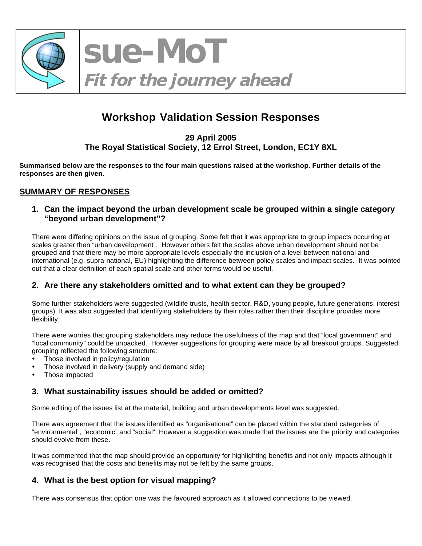

**sue-MoT Fit for the journey ahead** 

# **Workshop Validation Session Responses**

**29 April 2005 The Royal Statistical Society, 12 Errol Street, London, EC1Y 8XL** 

**Summarised below are the responses to the four main questions raised at the workshop. Further details of the responses are then given.** 

#### **SUMMARY OF RESPONSES**

#### **1. Can the impact beyond the urban development scale be grouped within a single category "beyond urban development"?**

There were differing opinions on the issue of grouping. Some felt that it was appropriate to group impacts occurring at scales greater then "urban development". However others felt the scales above urban development should not be grouped and that there may be more appropriate levels especially the inclusion of a level between national and international (e.g. supra-national, EU) highlighting the difference between policy scales and impact scales. It was pointed out that a clear definition of each spatial scale and other terms would be useful.

#### **2. Are there any stakeholders omitted and to what extent can they be grouped?**

Some further stakeholders were suggested (wildlife trusts, health sector, R&D, young people, future generations, interest groups). It was also suggested that identifying stakeholders by their roles rather then their discipline provides more flexibility.

There were worries that grouping stakeholders may reduce the usefulness of the map and that "local government" and "local community" could be unpacked. However suggestions for grouping were made by all breakout groups. Suggested grouping reflected the following structure:

- Those involved in policy/regulation
- Those involved in delivery (supply and demand side)
- Those impacted

#### **3. What sustainability issues should be added or omitted?**

Some editing of the issues list at the material, building and urban developments level was suggested.

There was agreement that the issues identified as "organisational" can be placed within the standard categories of "environmental", "economic" and "social". However a suggestion was made that the issues are the priority and categories should evolve from these.

It was commented that the map should provide an opportunity for highlighting benefits and not only impacts although it was recognised that the costs and benefits may not be felt by the same groups.

#### **4. What is the best option for visual mapping?**

There was consensus that option one was the favoured approach as it allowed connections to be viewed.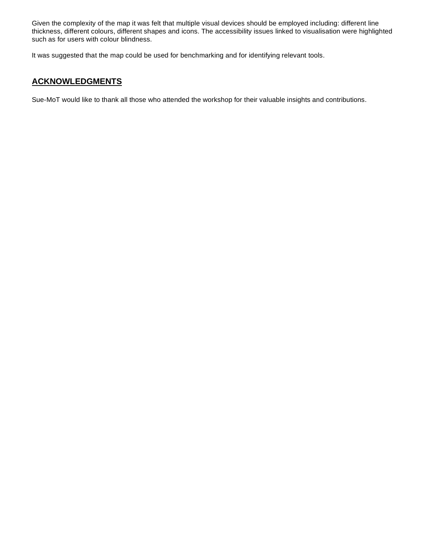Given the complexity of the map it was felt that multiple visual devices should be employed including: different line thickness, different colours, different shapes and icons. The accessibility issues linked to visualisation were highlighted such as for users with colour blindness.

It was suggested that the map could be used for benchmarking and for identifying relevant tools.

#### **ACKNOWLEDGMENTS**

Sue-MoT would like to thank all those who attended the workshop for their valuable insights and contributions.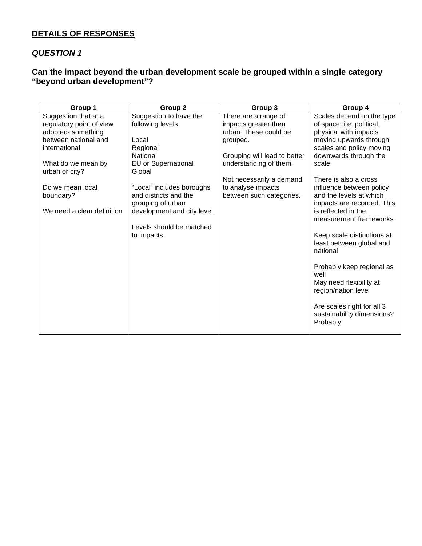#### **DETAILS OF RESPONSES**

#### *QUESTION 1*

#### **Can the impact beyond the urban development scale be grouped within a single category "beyond urban development"?**

| Group 1                    | Group 2                     | Group 3                      | Group 4                           |
|----------------------------|-----------------------------|------------------------------|-----------------------------------|
| Suggestion that at a       | Suggestion to have the      | There are a range of         | Scales depend on the type         |
| regulatory point of view   | following levels:           | impacts greater then         | of space: i.e. political,         |
| adopted-something          |                             | urban. These could be        | physical with impacts             |
| between national and       | Local                       | grouped.                     | moving upwards through            |
| international              | Regional                    |                              | scales and policy moving          |
|                            | National                    | Grouping will lead to better | downwards through the             |
| What do we mean by         | EU or Supernational         | understanding of them.       | scale.                            |
| urban or city?             | Global                      |                              |                                   |
|                            |                             | Not necessarily a demand     | There is also a cross             |
| Do we mean local           | "Local" includes boroughs   | to analyse impacts           | influence between policy          |
| boundary?                  | and districts and the       | between such categories.     | and the levels at which           |
|                            | grouping of urban           |                              | impacts are recorded. This        |
| We need a clear definition | development and city level. |                              | is reflected in the               |
|                            |                             |                              | measurement frameworks            |
|                            | Levels should be matched    |                              |                                   |
|                            | to impacts.                 |                              | Keep scale distinctions at        |
|                            |                             |                              | least between global and          |
|                            |                             |                              | national                          |
|                            |                             |                              |                                   |
|                            |                             |                              | Probably keep regional as<br>well |
|                            |                             |                              | May need flexibility at           |
|                            |                             |                              | region/nation level               |
|                            |                             |                              |                                   |
|                            |                             |                              | Are scales right for all 3        |
|                            |                             |                              | sustainability dimensions?        |
|                            |                             |                              | Probably                          |
|                            |                             |                              |                                   |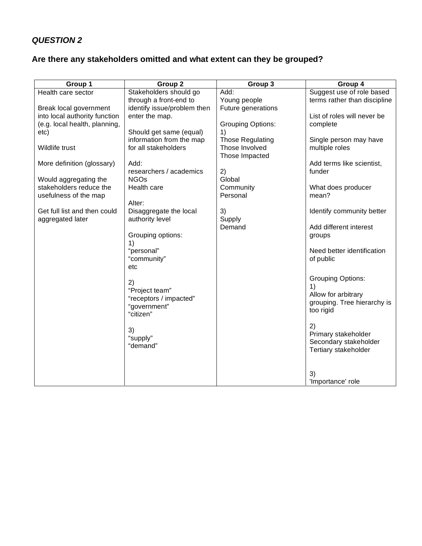## *QUESTION 2*

## **Are there any stakeholders omitted and what extent can they be grouped?**

| Group 1                       | Group <sub>2</sub>                               | Group 3                                   | Group 4                                  |
|-------------------------------|--------------------------------------------------|-------------------------------------------|------------------------------------------|
| Health care sector            | Stakeholders should go                           | Add:                                      | Suggest use of role based                |
|                               | through a front-end to                           | Young people                              | terms rather than discipline             |
| Break local government        | identify issue/problem then                      | Future generations                        |                                          |
| into local authority function | enter the map.                                   |                                           | List of roles will never be              |
| (e.g. local health, planning, |                                                  | <b>Grouping Options:</b>                  | complete                                 |
| etc)                          | Should get same (equal)                          | 1)                                        |                                          |
| Wildlife trust                | information from the map<br>for all stakeholders | <b>Those Regulating</b><br>Those Involved | Single person may have<br>multiple roles |
|                               |                                                  | Those Impacted                            |                                          |
| More definition (glossary)    | Add:                                             |                                           | Add terms like scientist,                |
|                               | researchers / academics                          | 2)                                        | funder                                   |
| Would aggregating the         | <b>NGOs</b>                                      | Global                                    |                                          |
| stakeholders reduce the       | Health care                                      | Community                                 | What does producer                       |
| usefulness of the map         |                                                  | Personal                                  | mean?                                    |
|                               | Alter:                                           |                                           |                                          |
| Get full list and then could  | Disaggregate the local                           | 3)                                        | Identify community better                |
| aggregated later              | authority level                                  | Supply                                    |                                          |
|                               |                                                  | Demand                                    | Add different interest                   |
|                               | Grouping options:                                |                                           | groups                                   |
|                               | 1)<br>"personal"                                 |                                           | Need better identification               |
|                               | "community"                                      |                                           | of public                                |
|                               | etc                                              |                                           |                                          |
|                               |                                                  |                                           |                                          |
|                               | 2)                                               |                                           | <b>Grouping Options:</b>                 |
|                               | "Project team"                                   |                                           | 1)<br>Allow for arbitrary                |
|                               | "receptors / impacted"                           |                                           | grouping. Tree hierarchy is              |
|                               | "government"                                     |                                           | too rigid                                |
|                               | "citizen"                                        |                                           |                                          |
|                               |                                                  |                                           | 2)                                       |
|                               | 3)<br>"supply"                                   |                                           | Primary stakeholder                      |
|                               | "demand"                                         |                                           | Secondary stakeholder                    |
|                               |                                                  |                                           | Tertiary stakeholder                     |
|                               |                                                  |                                           |                                          |
|                               |                                                  |                                           | 3)                                       |
|                               |                                                  |                                           | 'Importance' role                        |
|                               |                                                  |                                           |                                          |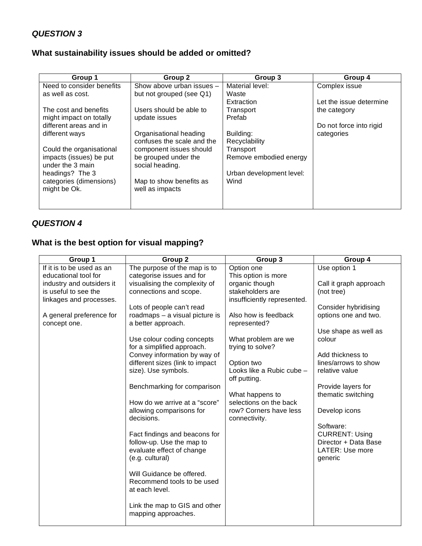## *QUESTION 3*

#### **What sustainability issues should be added or omitted?**

| Group 1                                     | Group 2                                    | Group 3                  | Group 4                 |
|---------------------------------------------|--------------------------------------------|--------------------------|-------------------------|
| Need to consider benefits                   | Show above urban issues -                  | Material level:          | Complex issue           |
| as well as cost.                            | but not grouped (see Q1)                   | Waste                    |                         |
|                                             |                                            | Extraction               | Let the issue determine |
| The cost and benefits                       | Users should be able to                    | Transport                | the category            |
| might impact on totally                     | update issues                              | Prefab                   |                         |
| different areas and in                      |                                            |                          | Do not force into rigid |
| different ways                              | Organisational heading                     | Building:                | categories              |
|                                             | confuses the scale and the                 | Recyclability            |                         |
| Could the organisational                    | component issues should                    | Transport                |                         |
| impacts (issues) be put<br>under the 3 main | be grouped under the<br>social heading.    | Remove embodied energy   |                         |
| headings? The 3                             |                                            | Urban development level: |                         |
| categories (dimensions)<br>might be Ok.     | Map to show benefits as<br>well as impacts | Wind                     |                         |
|                                             |                                            |                          |                         |

### *QUESTION 4*

## **What is the best option for visual mapping?**

| Group 1                   | Group 2                         | Group 3                                   | Group 4                |
|---------------------------|---------------------------------|-------------------------------------------|------------------------|
| If it is to be used as an | The purpose of the map is to    | Option one                                | Use option 1           |
| educational tool for      | categorise issues and for       | This option is more                       |                        |
| industry and outsiders it | visualising the complexity of   | organic though                            | Call it graph approach |
| is useful to see the      | connections and scope.          | stakeholders are                          | (not tree)             |
| linkages and processes.   |                                 | insufficiently represented.               |                        |
|                           | Lots of people can't read       |                                           | Consider hybridising   |
| A general preference for  | roadmaps - a visual picture is  | Also how is feedback                      | options one and two.   |
| concept one.              | a better approach.              | represented?                              |                        |
|                           |                                 |                                           | Use shape as well as   |
|                           | Use colour coding concepts      | What problem are we                       | colour                 |
|                           | for a simplified approach.      | trying to solve?                          |                        |
|                           | Convey information by way of    |                                           | Add thickness to       |
|                           | different sizes (link to impact | Option two                                | lines/arrows to show   |
|                           | size). Use symbols.             | Looks like a Rubic cube -<br>off putting. | relative value         |
|                           | Benchmarking for comparison     |                                           | Provide layers for     |
|                           |                                 | What happens to                           | thematic switching     |
|                           | How do we arrive at a "score"   | selections on the back                    |                        |
|                           | allowing comparisons for        | row? Corners have less                    | Develop icons          |
|                           | decisions.                      | connectivity.                             |                        |
|                           |                                 |                                           | Software:              |
|                           | Fact findings and beacons for   |                                           | <b>CURRENT: Using</b>  |
|                           | follow-up. Use the map to       |                                           | Director + Data Base   |
|                           | evaluate effect of change       |                                           | LATER: Use more        |
|                           | (e.g. cultural)                 |                                           | generic                |
|                           |                                 |                                           |                        |
|                           | Will Guidance be offered.       |                                           |                        |
|                           | Recommend tools to be used      |                                           |                        |
|                           | at each level.                  |                                           |                        |
|                           |                                 |                                           |                        |
|                           | Link the map to GIS and other   |                                           |                        |
|                           | mapping approaches.             |                                           |                        |
|                           |                                 |                                           |                        |